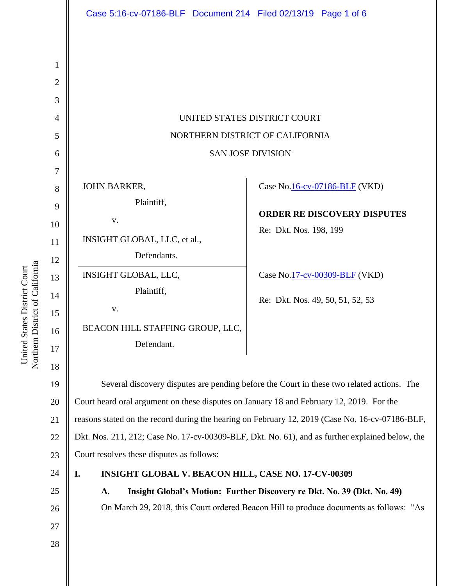|                | Case 5:16-cv-07186-BLF  Document 214  Filed 02/13/19  Page 1 of 6                               |                                    |
|----------------|-------------------------------------------------------------------------------------------------|------------------------------------|
|                |                                                                                                 |                                    |
| 1              |                                                                                                 |                                    |
| $\overline{2}$ |                                                                                                 |                                    |
| 3              |                                                                                                 |                                    |
| $\overline{4}$ | UNITED STATES DISTRICT COURT                                                                    |                                    |
| 5              | NORTHERN DISTRICT OF CALIFORNIA                                                                 |                                    |
| 6              | <b>SAN JOSE DIVISION</b>                                                                        |                                    |
| 7              |                                                                                                 |                                    |
| 8              | <b>JOHN BARKER,</b>                                                                             | Case No.16-cv-07186-BLF (VKD)      |
| 9              | Plaintiff,                                                                                      | <b>ORDER RE DISCOVERY DISPUTES</b> |
| 10             | V.                                                                                              | Re: Dkt. Nos. 198, 199             |
| 11             | INSIGHT GLOBAL, LLC, et al.,                                                                    |                                    |
| 12             | Defendants.                                                                                     |                                    |
| 13             | INSIGHT GLOBAL, LLC,                                                                            | Case No.17-cv-00309-BLF (VKD)      |
| 14             | Plaintiff,                                                                                      | Re: Dkt. Nos. 49, 50, 51, 52, 53   |
| 15             | V.                                                                                              |                                    |
| 16             | BEACON HILL STAFFING GROUP, LLC,                                                                |                                    |
| 17             | Defendant.                                                                                      |                                    |
| 18             |                                                                                                 |                                    |
| 19             | Several discovery disputes are pending before the Court in these two related actions. The       |                                    |
| 20             | Court heard oral argument on these disputes on January 18 and February 12, 2019. For the        |                                    |
| 21             | reasons stated on the record during the hearing on February 12, 2019 (Case No. 16-cv-07186-BLF, |                                    |
| 22             | Dkt. Nos. 211, 212; Case No. 17-cv-00309-BLF, Dkt. No. 61), and as further explained below, the |                                    |
| 23             | Court resolves these disputes as follows:                                                       |                                    |
| 24             | INSIGHT GLOBAL V. BEACON HILL, CASE NO. 17-CV-00309<br>I.                                       |                                    |
| 25             | Insight Global's Motion: Further Discovery re Dkt. No. 39 (Dkt. No. 49)<br>A.                   |                                    |
| 26             | On March 29, 2018, this Court ordered Beacon Hill to produce documents as follows: "As          |                                    |
| 27             |                                                                                                 |                                    |
| 28             |                                                                                                 |                                    |
|                |                                                                                                 |                                    |
|                |                                                                                                 |                                    |

United States District Court<br>Northern District of California Northern District of California United States District Court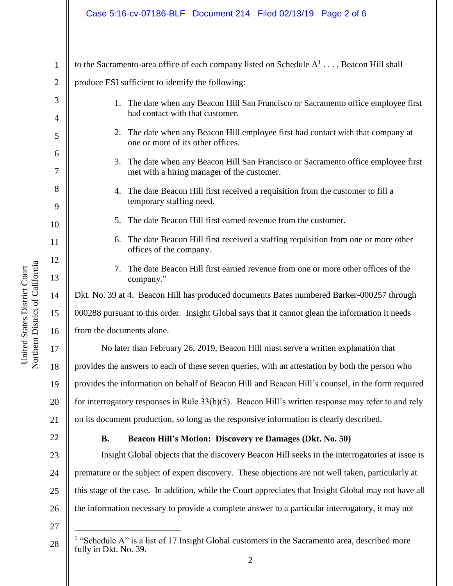## Case 5:16-cv-07186-BLF Document 214 Filed 02/13/19 Page 2 of 6

to the Sacramento-area office of each company listed on Schedule  $A^1 \dots$ , Beacon Hill shall

2 produce ESI sufficient to identify the following:

3 4 5 6 7 8 9 10 11 12 13 14 15 16 17 18 19 20 21 22 1. The date when any Beacon Hill San Francisco or Sacramento office employee first had contact with that customer. 2. The date when any Beacon Hill employee first had contact with that company at one or more of its other offices. 3. The date when any Beacon Hill San Francisco or Sacramento office employee first met with a hiring manager of the customer. 4. The date Beacon Hill first received a requisition from the customer to fill a temporary staffing need. 5. The date Beacon Hill first earned revenue from the customer. 6. The date Beacon Hill first received a staffing requisition from one or more other offices of the company. 7. The date Beacon Hill first earned revenue from one or more other offices of the company." Dkt. No. 39 at 4. Beacon Hill has produced documents Bates numbered Barker-000257 through 000288 pursuant to this order. Insight Global says that it cannot glean the information it needs from the documents alone. No later than February 26, 2019, Beacon Hill must serve a written explanation that provides the answers to each of these seven queries, with an attestation by both the person who provides the information on behalf of Beacon Hill and Beacon Hill's counsel, in the form required for interrogatory responses in Rule 33(b)(5). Beacon Hill's written response may refer to and rely on its document production, so long as the responsive information is clearly described. **B. Beacon Hill's Motion: Discovery re Damages (Dkt. No. 50)**

23 24 25 26 Insight Global objects that the discovery Beacon Hill seeks in the interrogatories at issue is premature or the subject of expert discovery. These objections are not well taken, particularly at this stage of the case. In addition, while the Court appreciates that Insight Global may not have all the information necessary to provide a complete answer to a particular interrogatory, it may not

27

 $\overline{a}$ 

28

1

<sup>&</sup>lt;sup>1</sup> "Schedule A" is a list of 17 Insight Global customers in the Sacramento area, described more fully in Dkt. No. 39.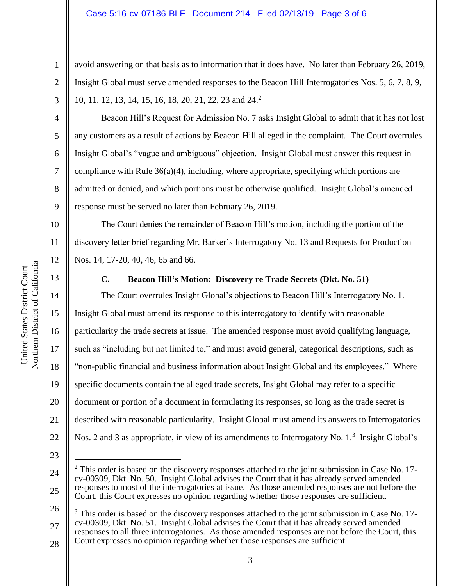### Case 5:16-cv-07186-BLF Document 214 Filed 02/13/19 Page 3 of 6

avoid answering on that basis as to information that it does have. No later than February 26, 2019, Insight Global must serve amended responses to the Beacon Hill Interrogatories Nos. 5, 6, 7, 8, 9, 10, 11, 12, 13, 14, 15, 16, 18, 20, 21, 22, 23 and 24. 2

Beacon Hill's Request for Admission No. 7 asks Insight Global to admit that it has not lost any customers as a result of actions by Beacon Hill alleged in the complaint. The Court overrules Insight Global's "vague and ambiguous" objection. Insight Global must answer this request in compliance with Rule  $36(a)(4)$ , including, where appropriate, specifying which portions are admitted or denied, and which portions must be otherwise qualified. Insight Global's amended response must be served no later than February 26, 2019.

The Court denies the remainder of Beacon Hill's motion, including the portion of the discovery letter brief regarding Mr. Barker's Interrogatory No. 13 and Requests for Production Nos. 14, 17-20, 40, 46, 65 and 66.

13

14

15

16

17

18

19

20

21

22

1

2

3

4

5

6

7

8

9

10

11

12

### **C. Beacon Hill's Motion: Discovery re Trade Secrets (Dkt. No. 51)**

The Court overrules Insight Global's objections to Beacon Hill's Interrogatory No. 1. Insight Global must amend its response to this interrogatory to identify with reasonable particularity the trade secrets at issue. The amended response must avoid qualifying language, such as "including but not limited to," and must avoid general, categorical descriptions, such as "non-public financial and business information about Insight Global and its employees." Where specific documents contain the alleged trade secrets, Insight Global may refer to a specific document or portion of a document in formulating its responses, so long as the trade secret is described with reasonable particularity. Insight Global must amend its answers to Interrogatories Nos. 2 and 3 as appropriate, in view of its amendments to Interrogatory No. 1.<sup>3</sup> Insight Global's

23

 $\overline{a}$ 

26 27 28 <sup>3</sup> This order is based on the discovery responses attached to the joint submission in Case No. 17cv-00309, Dkt. No. 51. Insight Global advises the Court that it has already served amended responses to all three interrogatories. As those amended responses are not before the Court, this Court expresses no opinion regarding whether those responses are sufficient.

Northern District of California Northern District of California United States District Court United States District Court

<sup>24</sup> 25  $2$  This order is based on the discovery responses attached to the joint submission in Case No. 17cv-00309, Dkt. No. 50. Insight Global advises the Court that it has already served amended responses to most of the interrogatories at issue. As those amended responses are not before the Court, this Court expresses no opinion regarding whether those responses are sufficient.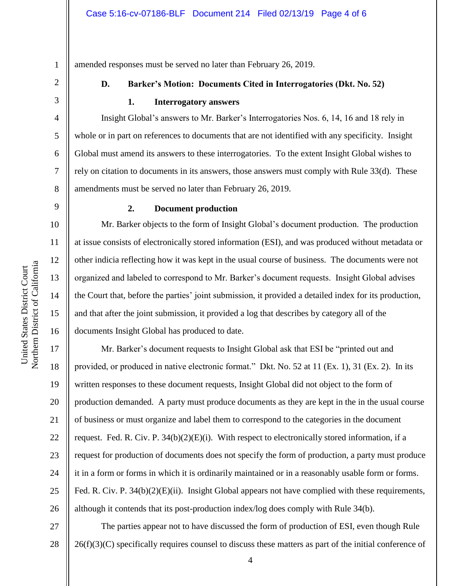amended responses must be served no later than February 26, 2019.

2 3

4

5

6

7

8

9

10

11

12

13

14

15

16

1

# **D. Barker's Motion: Documents Cited in Interrogatories (Dkt. No. 52)**

## **1. Interrogatory answers**

Insight Global's answers to Mr. Barker's Interrogatories Nos. 6, 14, 16 and 18 rely in whole or in part on references to documents that are not identified with any specificity. Insight Global must amend its answers to these interrogatories. To the extent Insight Global wishes to rely on citation to documents in its answers, those answers must comply with Rule 33(d). These amendments must be served no later than February 26, 2019.

# **2. Document production**

Mr. Barker objects to the form of Insight Global's document production. The production at issue consists of electronically stored information (ESI), and was produced without metadata or other indicia reflecting how it was kept in the usual course of business. The documents were not organized and labeled to correspond to Mr. Barker's document requests. Insight Global advises the Court that, before the parties' joint submission, it provided a detailed index for its production, and that after the joint submission, it provided a log that describes by category all of the documents Insight Global has produced to date.

17 18 19 20 21 22 23 24 25 26 Mr. Barker's document requests to Insight Global ask that ESI be "printed out and provided, or produced in native electronic format." Dkt. No. 52 at 11 (Ex. 1), 31 (Ex. 2). In its written responses to these document requests, Insight Global did not object to the form of production demanded. A party must produce documents as they are kept in the in the usual course of business or must organize and label them to correspond to the categories in the document request. Fed. R. Civ. P.  $34(b)(2)(E)(i)$ . With respect to electronically stored information, if a request for production of documents does not specify the form of production, a party must produce it in a form or forms in which it is ordinarily maintained or in a reasonably usable form or forms. Fed. R. Civ. P. 34(b)(2)(E)(ii). Insight Global appears not have complied with these requirements, although it contends that its post-production index/log does comply with Rule 34(b).

27 28 The parties appear not to have discussed the form of production of ESI, even though Rule 26(f)(3)(C) specifically requires counsel to discuss these matters as part of the initial conference of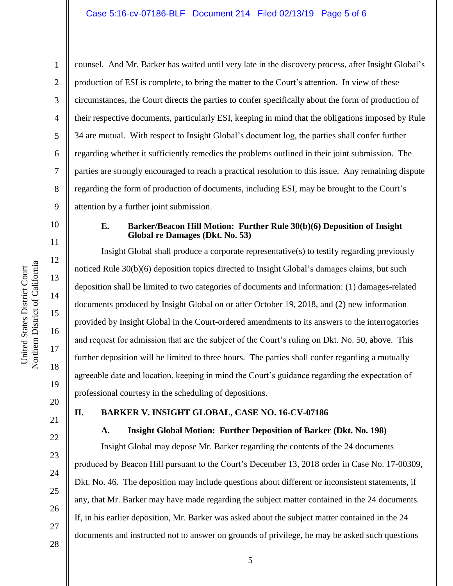Northern District of California Northern District of California United States District Court United States District Court

1

2

3

4

5

6

7

8

9

10

11

12

13

14

15

16

17

18

19

21

22

23

24

25

26

27

counsel. And Mr. Barker has waited until very late in the discovery process, after Insight Global's production of ESI is complete, to bring the matter to the Court's attention. In view of these circumstances, the Court directs the parties to confer specifically about the form of production of their respective documents, particularly ESI, keeping in mind that the obligations imposed by Rule 34 are mutual. With respect to Insight Global's document log, the parties shall confer further regarding whether it sufficiently remedies the problems outlined in their joint submission. The parties are strongly encouraged to reach a practical resolution to this issue. Any remaining dispute regarding the form of production of documents, including ESI, may be brought to the Court's attention by a further joint submission.

# **E. Barker/Beacon Hill Motion: Further Rule 30(b)(6) Deposition of Insight Global re Damages (Dkt. No. 53)**

Insight Global shall produce a corporate representative(s) to testify regarding previously noticed Rule 30(b)(6) deposition topics directed to Insight Global's damages claims, but such deposition shall be limited to two categories of documents and information: (1) damages-related documents produced by Insight Global on or after October 19, 2018, and (2) new information provided by Insight Global in the Court-ordered amendments to its answers to the interrogatories and request for admission that are the subject of the Court's ruling on Dkt. No. 50, above. This further deposition will be limited to three hours. The parties shall confer regarding a mutually agreeable date and location, keeping in mind the Court's guidance regarding the expectation of professional courtesy in the scheduling of depositions.

20

# **II. BARKER V. INSIGHT GLOBAL, CASE NO. 16-CV-07186**

# **A. Insight Global Motion: Further Deposition of Barker (Dkt. No. 198)**

Insight Global may depose Mr. Barker regarding the contents of the 24 documents produced by Beacon Hill pursuant to the Court's December 13, 2018 order in Case No. 17-00309, Dkt. No. 46. The deposition may include questions about different or inconsistent statements, if any, that Mr. Barker may have made regarding the subject matter contained in the 24 documents. If, in his earlier deposition, Mr. Barker was asked about the subject matter contained in the 24 documents and instructed not to answer on grounds of privilege, he may be asked such questions

28